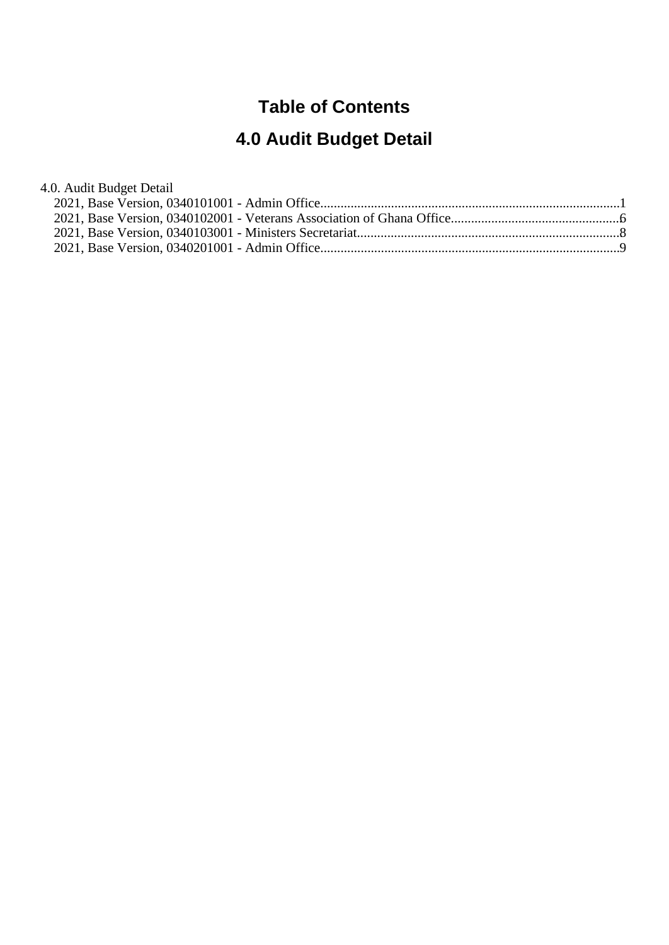## **Table of Contents**

# **4.0 Audit Budget Detail**

4.0. Audit Budget Detail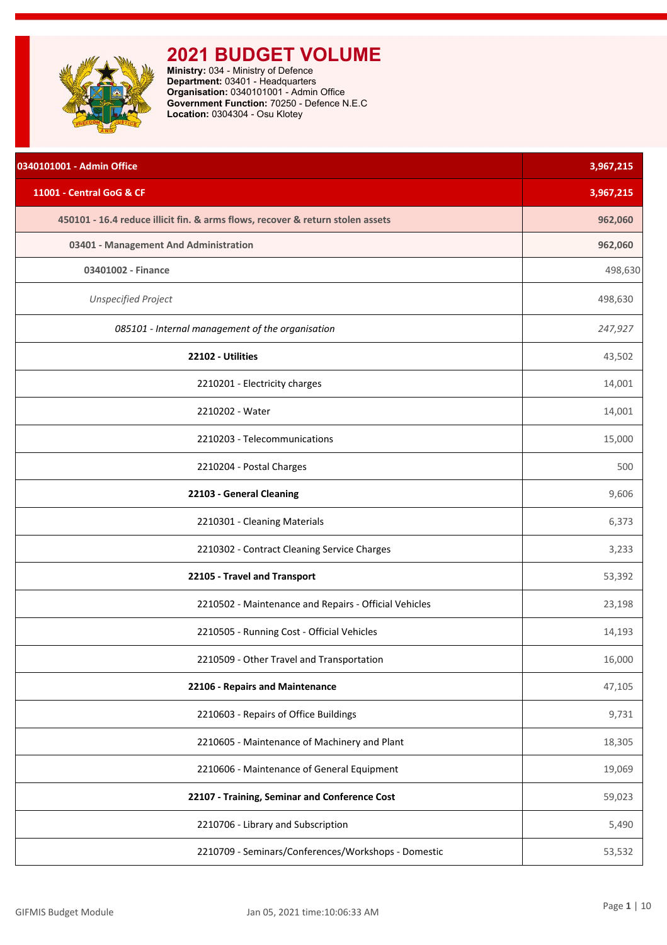<span id="page-1-0"></span>

| 0340101001 - Admin Office                                                      | 3,967,215 |
|--------------------------------------------------------------------------------|-----------|
| 11001 - Central GoG & CF                                                       | 3,967,215 |
| 450101 - 16.4 reduce illicit fin. & arms flows, recover & return stolen assets | 962,060   |
| 03401 - Management And Administration                                          | 962,060   |
| 03401002 - Finance                                                             | 498,630   |
| <b>Unspecified Project</b>                                                     | 498,630   |
| 085101 - Internal management of the organisation                               | 247,927   |
| 22102 - Utilities                                                              | 43,502    |
| 2210201 - Electricity charges                                                  | 14,001    |
| 2210202 - Water                                                                | 14,001    |
| 2210203 - Telecommunications                                                   | 15,000    |
| 2210204 - Postal Charges                                                       | 500       |
| 22103 - General Cleaning                                                       | 9,606     |
| 2210301 - Cleaning Materials                                                   | 6,373     |
| 2210302 - Contract Cleaning Service Charges                                    | 3,233     |
| 22105 - Travel and Transport                                                   | 53,392    |
| 2210502 - Maintenance and Repairs - Official Vehicles                          | 23,198    |
| 2210505 - Running Cost - Official Vehicles                                     | 14,193    |
| 2210509 - Other Travel and Transportation                                      | 16,000    |
| 22106 - Repairs and Maintenance                                                | 47,105    |
| 2210603 - Repairs of Office Buildings                                          | 9,731     |
| 2210605 - Maintenance of Machinery and Plant                                   | 18,305    |
| 2210606 - Maintenance of General Equipment                                     | 19,069    |
| 22107 - Training, Seminar and Conference Cost                                  | 59,023    |
| 2210706 - Library and Subscription                                             | 5,490     |
| 2210709 - Seminars/Conferences/Workshops - Domestic                            | 53,532    |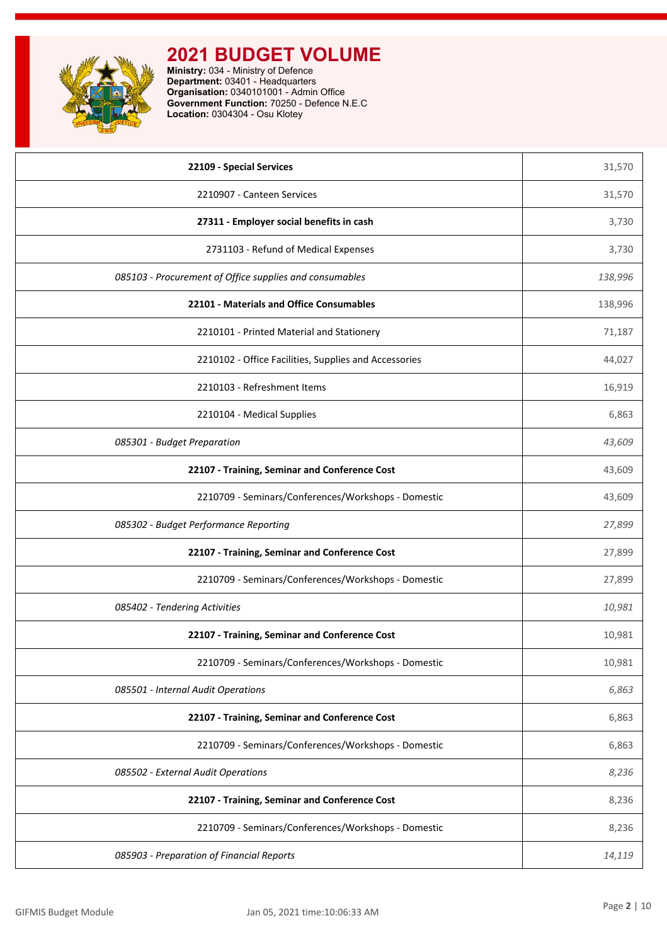

| 22109 - Special Services                                | 31,570  |
|---------------------------------------------------------|---------|
| 2210907 - Canteen Services                              | 31,570  |
| 27311 - Employer social benefits in cash                | 3,730   |
| 2731103 - Refund of Medical Expenses                    | 3,730   |
| 085103 - Procurement of Office supplies and consumables | 138,996 |
| 22101 - Materials and Office Consumables                | 138,996 |
| 2210101 - Printed Material and Stationery               | 71,187  |
| 2210102 - Office Facilities, Supplies and Accessories   | 44,027  |
| 2210103 - Refreshment Items                             | 16,919  |
| 2210104 - Medical Supplies                              | 6,863   |
| 085301 - Budget Preparation                             | 43,609  |
| 22107 - Training, Seminar and Conference Cost           | 43,609  |
| 2210709 - Seminars/Conferences/Workshops - Domestic     | 43,609  |
| 085302 - Budget Performance Reporting                   | 27,899  |
| 22107 - Training, Seminar and Conference Cost           | 27,899  |
| 2210709 - Seminars/Conferences/Workshops - Domestic     | 27,899  |
| 085402 - Tendering Activities                           | 10,981  |
| 22107 - Training, Seminar and Conference Cost           | 10,981  |
| 2210709 - Seminars/Conferences/Workshops - Domestic     | 10,981  |
| 085501 - Internal Audit Operations                      | 6,863   |
| 22107 - Training, Seminar and Conference Cost           | 6,863   |
| 2210709 - Seminars/Conferences/Workshops - Domestic     | 6,863   |
| 085502 - External Audit Operations                      | 8,236   |
| 22107 - Training, Seminar and Conference Cost           | 8,236   |
| 2210709 - Seminars/Conferences/Workshops - Domestic     | 8,236   |
| 085903 - Preparation of Financial Reports               | 14,119  |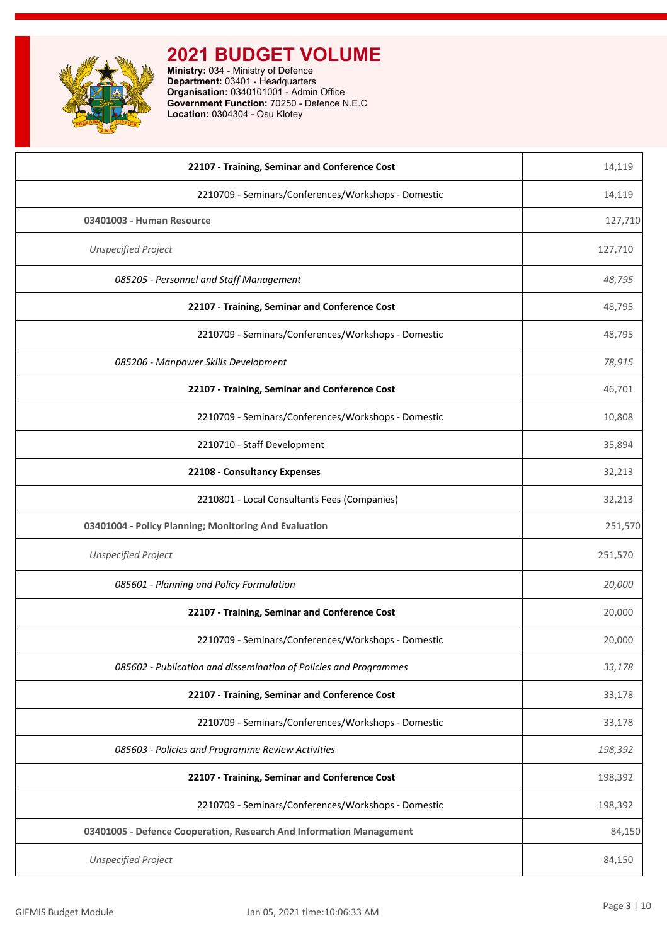| 22107 - Training, Seminar and Conference Cost                       | 14,119  |
|---------------------------------------------------------------------|---------|
| 2210709 - Seminars/Conferences/Workshops - Domestic                 | 14,119  |
| 03401003 - Human Resource                                           | 127,710 |
| <b>Unspecified Project</b>                                          | 127,710 |
| 085205 - Personnel and Staff Management                             | 48,795  |
| 22107 - Training, Seminar and Conference Cost                       | 48,795  |
| 2210709 - Seminars/Conferences/Workshops - Domestic                 | 48,795  |
| 085206 - Manpower Skills Development                                | 78,915  |
| 22107 - Training, Seminar and Conference Cost                       | 46,701  |
| 2210709 - Seminars/Conferences/Workshops - Domestic                 | 10,808  |
| 2210710 - Staff Development                                         | 35,894  |
| 22108 - Consultancy Expenses                                        | 32,213  |
| 2210801 - Local Consultants Fees (Companies)                        | 32,213  |
| 03401004 - Policy Planning; Monitoring And Evaluation               | 251,570 |
| <b>Unspecified Project</b>                                          | 251,570 |
| 085601 - Planning and Policy Formulation                            | 20,000  |
| 22107 - Training, Seminar and Conference Cost                       | 20,000  |
| 2210709 - Seminars/Conferences/Workshops - Domestic                 | 20,000  |
| 085602 - Publication and dissemination of Policies and Programmes   | 33,178  |
| 22107 - Training, Seminar and Conference Cost                       | 33,178  |
| 2210709 - Seminars/Conferences/Workshops - Domestic                 | 33,178  |
| 085603 - Policies and Programme Review Activities                   | 198,392 |
| 22107 - Training, Seminar and Conference Cost                       | 198,392 |
| 2210709 - Seminars/Conferences/Workshops - Domestic                 | 198,392 |
| 03401005 - Defence Cooperation, Research And Information Management | 84,150  |
| <b>Unspecified Project</b>                                          | 84,150  |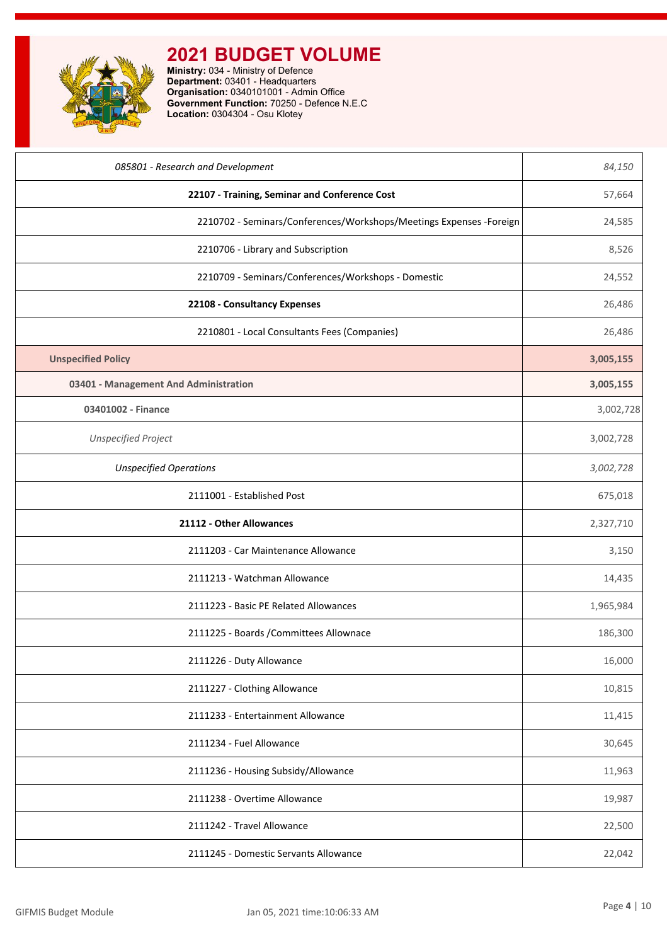| 085801 - Research and Development                                    | 84,150    |
|----------------------------------------------------------------------|-----------|
| 22107 - Training, Seminar and Conference Cost                        | 57,664    |
| 2210702 - Seminars/Conferences/Workshops/Meetings Expenses - Foreign | 24,585    |
| 2210706 - Library and Subscription                                   | 8,526     |
| 2210709 - Seminars/Conferences/Workshops - Domestic                  | 24,552    |
| 22108 - Consultancy Expenses                                         | 26,486    |
| 2210801 - Local Consultants Fees (Companies)                         | 26,486    |
| <b>Unspecified Policy</b>                                            | 3,005,155 |
| 03401 - Management And Administration                                | 3,005,155 |
| 03401002 - Finance                                                   | 3,002,728 |
| <b>Unspecified Project</b>                                           | 3,002,728 |
| <b>Unspecified Operations</b>                                        | 3,002,728 |
| 2111001 - Established Post                                           | 675,018   |
| 21112 - Other Allowances                                             | 2,327,710 |
| 2111203 - Car Maintenance Allowance                                  | 3,150     |
| 2111213 - Watchman Allowance                                         | 14,435    |
| 2111223 - Basic PE Related Allowances                                | 1,965,984 |
| 2111225 - Boards / Committees Allownace                              | 186,300   |
| 2111226 - Duty Allowance                                             | 16,000    |
| 2111227 - Clothing Allowance                                         | 10,815    |
| 2111233 - Entertainment Allowance                                    | 11,415    |
| 2111234 - Fuel Allowance                                             | 30,645    |
| 2111236 - Housing Subsidy/Allowance                                  | 11,963    |
| 2111238 - Overtime Allowance                                         | 19,987    |
| 2111242 - Travel Allowance                                           | 22,500    |
| 2111245 - Domestic Servants Allowance                                | 22,042    |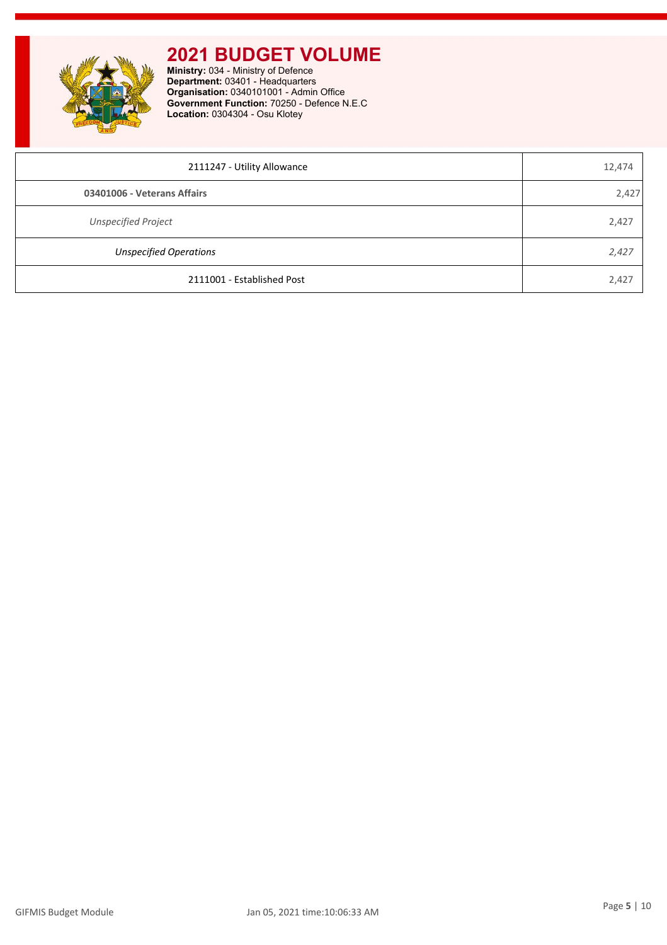

| 2111247 - Utility Allowance   | 12,474 |
|-------------------------------|--------|
| 03401006 - Veterans Affairs   | 2,427  |
| <b>Unspecified Project</b>    | 2,427  |
| <b>Unspecified Operations</b> | 2,427  |
| 2111001 - Established Post    | 2,427  |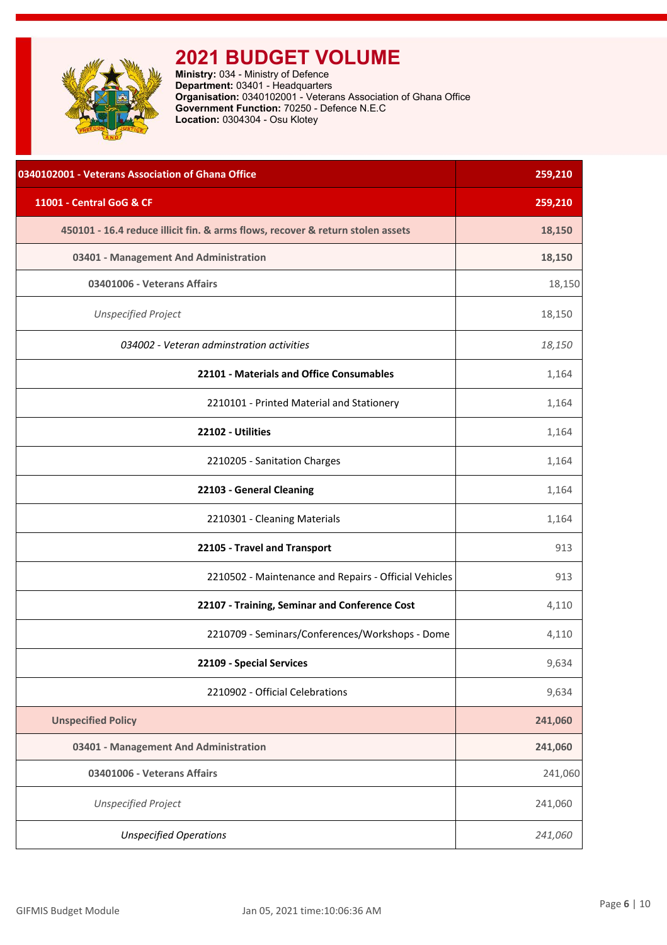<span id="page-6-0"></span>

| 0340102001 - Veterans Association of Ghana Office                              | 259,210 |
|--------------------------------------------------------------------------------|---------|
| 11001 - Central GoG & CF                                                       | 259,210 |
| 450101 - 16.4 reduce illicit fin. & arms flows, recover & return stolen assets | 18,150  |
| 03401 - Management And Administration                                          | 18,150  |
| 03401006 - Veterans Affairs                                                    | 18,150  |
| <b>Unspecified Project</b>                                                     | 18,150  |
| 034002 - Veteran adminstration activities                                      | 18,150  |
| 22101 - Materials and Office Consumables                                       | 1,164   |
| 2210101 - Printed Material and Stationery                                      | 1,164   |
| 22102 - Utilities                                                              | 1,164   |
| 2210205 - Sanitation Charges                                                   | 1,164   |
| 22103 - General Cleaning                                                       | 1,164   |
| 2210301 - Cleaning Materials                                                   | 1,164   |
| 22105 - Travel and Transport                                                   | 913     |
| 2210502 - Maintenance and Repairs - Official Vehicles                          | 913     |
| 22107 - Training, Seminar and Conference Cost                                  | 4,110   |
| 2210709 - Seminars/Conferences/Workshops - Dome                                | 4,110   |
| 22109 - Special Services                                                       | 9,634   |
| 2210902 - Official Celebrations                                                | 9,634   |
| <b>Unspecified Policy</b>                                                      | 241,060 |
| 03401 - Management And Administration                                          | 241,060 |
| 03401006 - Veterans Affairs                                                    | 241,060 |
| <b>Unspecified Project</b>                                                     | 241,060 |
| <b>Unspecified Operations</b>                                                  | 241,060 |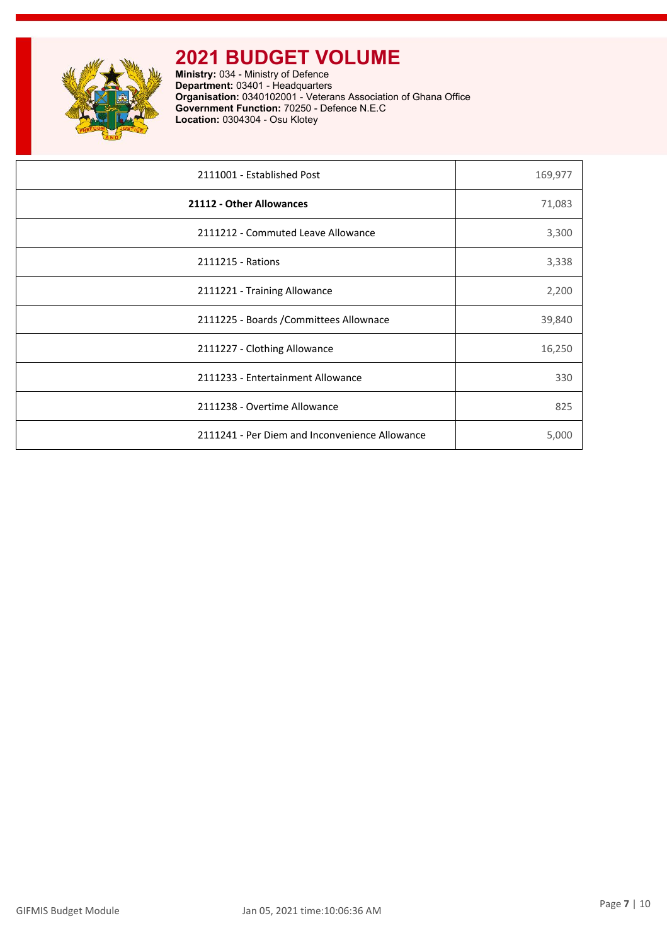

| 2111001 - Established Post                     | 169,977 |
|------------------------------------------------|---------|
| 21112 - Other Allowances                       | 71,083  |
| 2111212 - Commuted Leave Allowance             | 3,300   |
| 2111215 - Rations                              | 3,338   |
| 2111221 - Training Allowance                   | 2,200   |
| 2111225 - Boards / Committees Allownace        | 39,840  |
| 2111227 - Clothing Allowance                   | 16,250  |
| 2111233 - Entertainment Allowance              | 330     |
| 2111238 - Overtime Allowance                   | 825     |
| 2111241 - Per Diem and Inconvenience Allowance | 5,000   |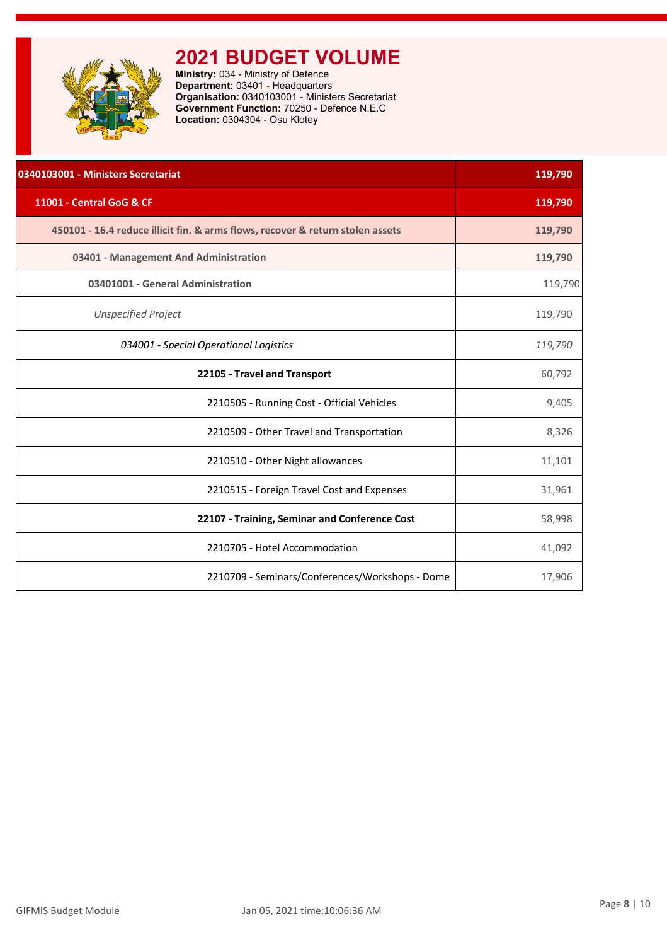<span id="page-8-0"></span>

| 0340103001 - Ministers Secretariat                                             | 119,790 |
|--------------------------------------------------------------------------------|---------|
| 11001 - Central GoG & CF                                                       | 119,790 |
| 450101 - 16.4 reduce illicit fin. & arms flows, recover & return stolen assets | 119,790 |
| 03401 - Management And Administration                                          | 119,790 |
| 03401001 - General Administration                                              | 119,790 |
| <b>Unspecified Project</b>                                                     | 119,790 |
| 034001 - Special Operational Logistics                                         | 119,790 |
| 22105 - Travel and Transport                                                   | 60,792  |
| 2210505 - Running Cost - Official Vehicles                                     | 9,405   |
| 2210509 - Other Travel and Transportation                                      | 8,326   |
| 2210510 - Other Night allowances                                               | 11,101  |
| 2210515 - Foreign Travel Cost and Expenses                                     | 31,961  |
| 22107 - Training, Seminar and Conference Cost                                  | 58,998  |
| 2210705 - Hotel Accommodation                                                  | 41,092  |
| 2210709 - Seminars/Conferences/Workshops - Dome                                | 17,906  |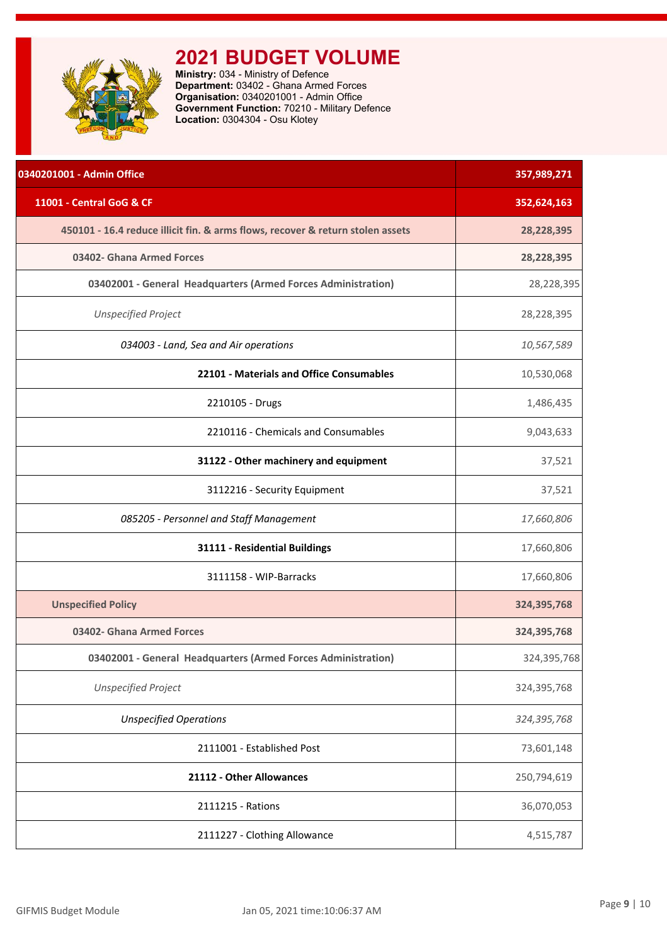<span id="page-9-0"></span>

**Ministry:** 034 - Ministry of Defence **Department:** 03402 - Ghana Armed Forces **Organisation:** 0340201001 - Admin Office **Government Function:** 70210 - Military Defence **Location:** 0304304 - Osu Klotey

| 0340201001 - Admin Office                                                      | 357,989,271 |
|--------------------------------------------------------------------------------|-------------|
| 11001 - Central GoG & CF                                                       | 352,624,163 |
| 450101 - 16.4 reduce illicit fin. & arms flows, recover & return stolen assets | 28,228,395  |
| 03402- Ghana Armed Forces                                                      | 28,228,395  |
| 03402001 - General Headquarters (Armed Forces Administration)                  | 28,228,395  |
| <b>Unspecified Project</b>                                                     | 28,228,395  |
| 034003 - Land, Sea and Air operations                                          | 10,567,589  |
| 22101 - Materials and Office Consumables                                       | 10,530,068  |
| 2210105 - Drugs                                                                | 1,486,435   |
| 2210116 - Chemicals and Consumables                                            | 9,043,633   |
| 31122 - Other machinery and equipment                                          | 37,521      |
| 3112216 - Security Equipment                                                   | 37,521      |
| 085205 - Personnel and Staff Management                                        | 17,660,806  |
| 31111 - Residential Buildings                                                  | 17,660,806  |
| 3111158 - WIP-Barracks                                                         | 17,660,806  |
| <b>Unspecified Policy</b>                                                      | 324,395,768 |
| 03402- Ghana Armed Forces                                                      | 324,395,768 |
| 03402001 - General Headquarters (Armed Forces Administration)                  | 324,395,768 |
| <b>Unspecified Project</b>                                                     | 324,395,768 |
| <b>Unspecified Operations</b>                                                  | 324,395,768 |
| 2111001 - Established Post                                                     | 73,601,148  |
| 21112 - Other Allowances                                                       | 250,794,619 |
| 2111215 - Rations                                                              | 36,070,053  |
| 2111227 - Clothing Allowance                                                   | 4,515,787   |